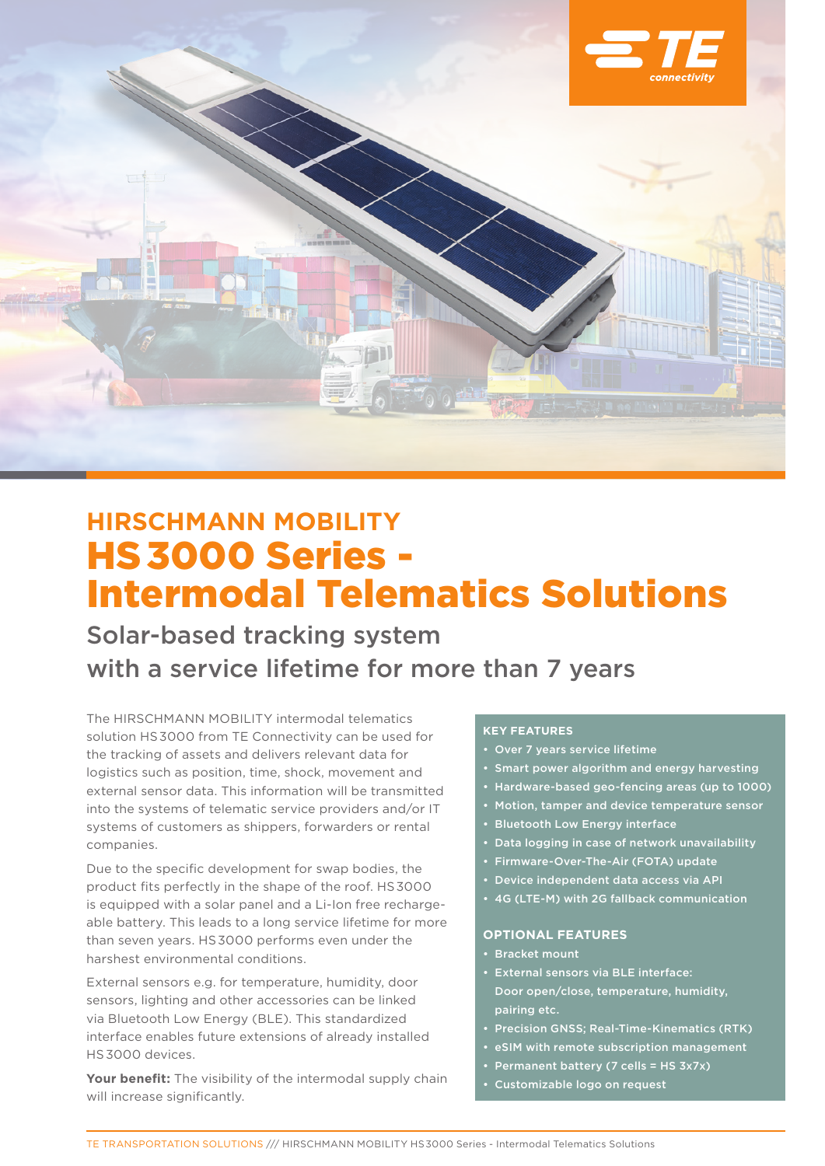

# **HIRSCHMANN MOBILITY** HS 3000 Series - Intermodal Telematics Solutions

Solar-based tracking system with a service lifetime for more than 7 years

The HIRSCHMANN MOBILITY intermodal telematics solution HS 3000 from TE Connectivity can be used for the tracking of assets and delivers relevant data for logistics such as position, time, shock, movement and external sensor data. This information will be transmitted into the systems of telematic service providers and/or IT systems of customers as shippers, forwarders or rental companies.

Due to the specific development for swap bodies, the product fits perfectly in the shape of the roof. HS 3000 is equipped with a solar panel and a Li-Ion free rechargeable battery. This leads to a long service lifetime for more than seven years. HS 3000 performs even under the harshest environmental conditions.

External sensors e.g. for temperature, humidity, door sensors, lighting and other accessories can be linked via Bluetooth Low Energy (BLE). This standardized interface enables future extensions of already installed HS 3000 devices.

Your benefit: The visibility of the intermodal supply chain will increase significantly.

## **Key features**

- • Over 7 years service lifetime
- • Smart power algorithm and energy harvesting
- Hardware-based geo-fencing areas (up to 1000)
- • Motion, tamper and device temperature sensor
- • Bluetooth Low Energy interface
- Data logging in case of network unavailability
- • Firmware-Over-The-Air (FOTA) update
- Device independent data access via API
- • 4G (LTE-M) with 2G fallback communication

#### **Optional Features**

- • Bracket mount
- • External sensors via BLE interface: Door open/close, temperature, humidity, pairing etc.
- **Precision GNSS; Real-Time-Kinematics (RTK)**
- • eSIM with remote subscription management
- Permanent battery (7 cells = HS 3x7x)
- Customizable logo on request